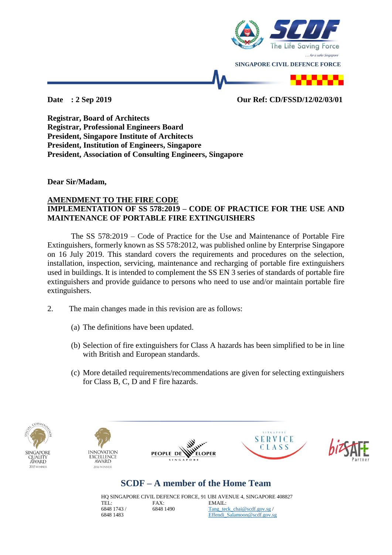

### **Date : 2 Sep 2019 Our Ref: CD/FSSD/12/02/03/01**

**Registrar, Board of Architects Registrar, Professional Engineers Board President, Singapore Institute of Architects President, Institution of Engineers, Singapore President, Association of Consulting Engineers, Singapore**

**Dear Sir/Madam,**

#### **AMENDMENT TO THE FIRE CODE IMPLEMENTATION OF SS 578:2019 – CODE OF PRACTICE FOR THE USE AND MAINTENANCE OF PORTABLE FIRE EXTINGUISHERS**

The SS 578:2019 – Code of Practice for the Use and Maintenance of Portable Fire Extinguishers, formerly known as SS 578:2012, was published online by Enterprise Singapore on 16 July 2019. This standard covers the requirements and procedures on the selection, installation, inspection, servicing, maintenance and recharging of portable fire extinguishers used in buildings. It is intended to complement the SS EN 3 series of standards of portable fire extinguishers and provide guidance to persons who need to use and/or maintain portable fire extinguishers.

- 2. The main changes made in this revision are as follows:
	- (a) The definitions have been updated.
	- (b) Selection of fire extinguishers for Class A hazards has been simplified to be in line with British and European standards.
	- (c) More detailed requirements/recommendations are given for selecting extinguishers for Class B, C, D and F fire hazards.











# **SCDF – A member of the Home Team**

HQ SINGAPORE CIVIL DEFENCE FORCE, 91 UBI AVENUE 4, SINGAPORE 408827 TEL: 6848 1743 / 6848 1483 FAX: 6848 1490 EMAIL: [Tang\\_teck\\_chai@scdf.gov.sg](mailto:Tang_teck_chai@scdf.gov.sg) / [Effendi\\_Salamoon@scdf.gov.sg](mailto:Effendi_Salamoon@scdf.gov.sg)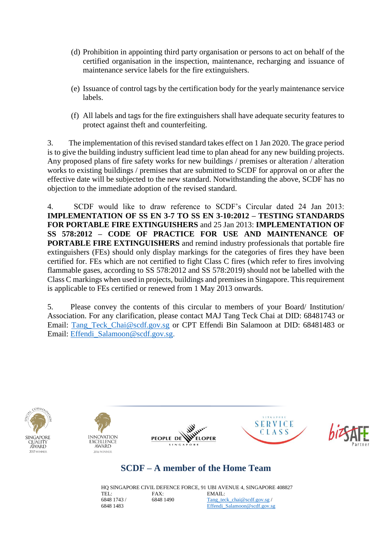- (d) Prohibition in appointing third party organisation or persons to act on behalf of the certified organisation in the inspection, maintenance, recharging and issuance of maintenance service labels for the fire extinguishers.
- (e) Issuance of control tags by the certification body for the yearly maintenance service labels.
- (f) All labels and tags for the fire extinguishers shall have adequate security features to protect against theft and counterfeiting.

3. The implementation of this revised standard takes effect on 1 Jan 2020. The grace period is to give the building industry sufficient lead time to plan ahead for any new building projects. Any proposed plans of fire safety works for new buildings / premises or alteration / alteration works to existing buildings / premises that are submitted to SCDF for approval on or after the effective date will be subjected to the new standard. Notwithstanding the above, SCDF has no objection to the immediate adoption of the revised standard.

4. SCDF would like to draw reference to SCDF's Circular dated 24 Jan 2013: **IMPLEMENTATION OF SS EN 3-7 TO SS EN 3-10:2012 – TESTING STANDARDS FOR PORTABLE FIRE EXTINGUISHERS** and 25 Jan 2013: **IMPLEMENTATION OF SS 578:2012 – CODE OF PRACTICE FOR USE AND MAINTENANCE OF PORTABLE FIRE EXTINGUISHERS** and remind industry professionals that portable fire extinguishers (FEs) should only display markings for the categories of fires they have been certified for. FEs which are not certified to fight Class C fires (which refer to fires involving flammable gases, according to SS 578:2012 and SS 578:2019) should not be labelled with the Class C markings when used in projects, buildings and premises in Singapore. This requirement is applicable to FEs certified or renewed from 1 May 2013 onwards.

5. Please convey the contents of this circular to members of your Board/ Institution/ Association. For any clarification, please contact MAJ Tang Teck Chai at DID: 68481743 or Email: Tang Teck Chai@scdf.gov.sg or CPT Effendi Bin Salamoon at DID: 68481483 or Email: [Effendi\\_Salamoon@scdf.gov.sg.](mailto:Effendi_Salamoon@scdf.gov.sg)











## **SCDF – A member of the Home Team**

HQ SINGAPORE CIVIL DEFENCE FORCE, 91 UBI AVENUE 4, SINGAPORE 408827 TEL: 6848 1743 / 6848 1483 FAX: 6848 1490 EMAIL: [Tang\\_teck\\_chai@scdf.gov.sg](mailto:Tang_teck_chai@scdf.gov.sg) / [Effendi\\_Salamoon@scdf.gov.sg](mailto:Effendi_Salamoon@scdf.gov.sg)